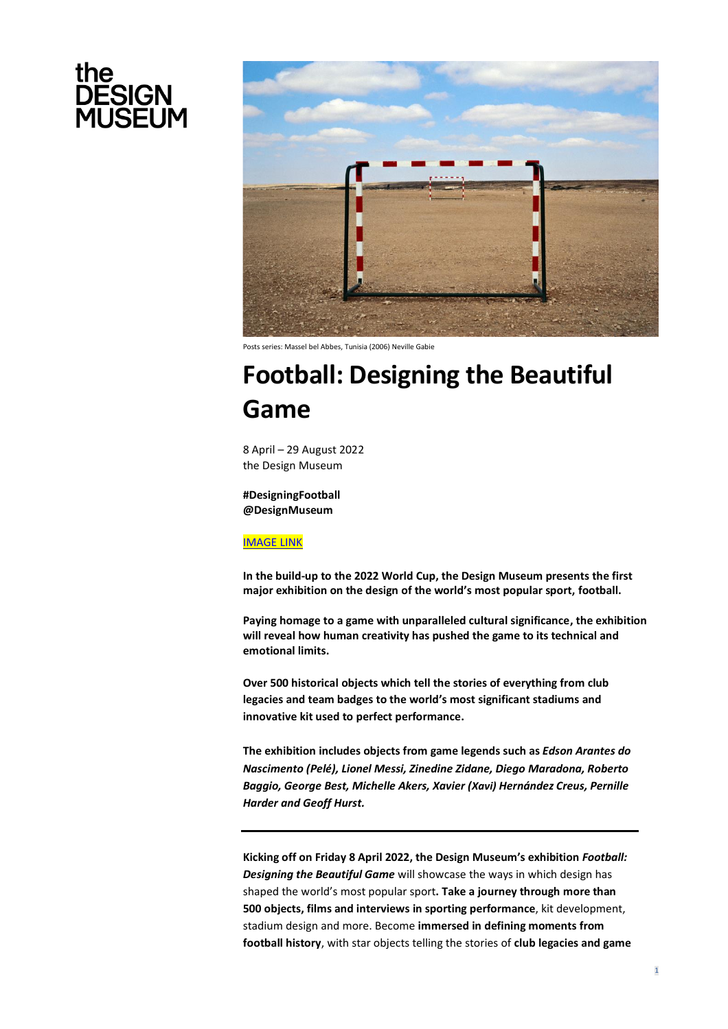



Posts series: Massel bel Abbes, Tunisia (2006) Neville Gabie

# **Football: Designing the Beautiful Game**

8 April – 29 August 2022 the Design Museum

**#DesigningFootball @DesignMuseum**

[IMAGE LINK](https://www.dropbox.com/sh/jre3jqu42zmn5gd/AADFbNN9ks8azofVhuBDTVzva?dl=0)

**In the build-up to the 2022 World Cup, the Design Museum presents the first major exhibition on the design of the world's most popular sport, football.** 

**Paying homage to a game with unparalleled cultural significance, the exhibition will reveal how human creativity has pushed the game to its technical and emotional limits.**

**Over 500 historical objects which tell the stories of everything from club legacies and team badges to the world's most significant stadiums and innovative kit used to perfect performance.**

**The exhibition includes objects from game legends such as** *Edson Arantes do Nascimento (Pelé), Lionel Messi, Zinedine Zidane, Diego Maradona, Roberto Baggio, George Best, Michelle Akers, Xavier (Xavi) Hernández Creus, Pernille Harder and Geoff Hurst.*

**Kicking off on Friday 8 April 2022, the Design Museum's exhibition** *Football: Designing the Beautiful Game* will showcase the ways in which design has shaped the world's most popular sport**. Take a journey through more than 500 objects, films and interviews in sporting performance**, kit development, stadium design and more. Become **immersed in defining moments from football history**, with star objects telling the stories of **club legacies and game**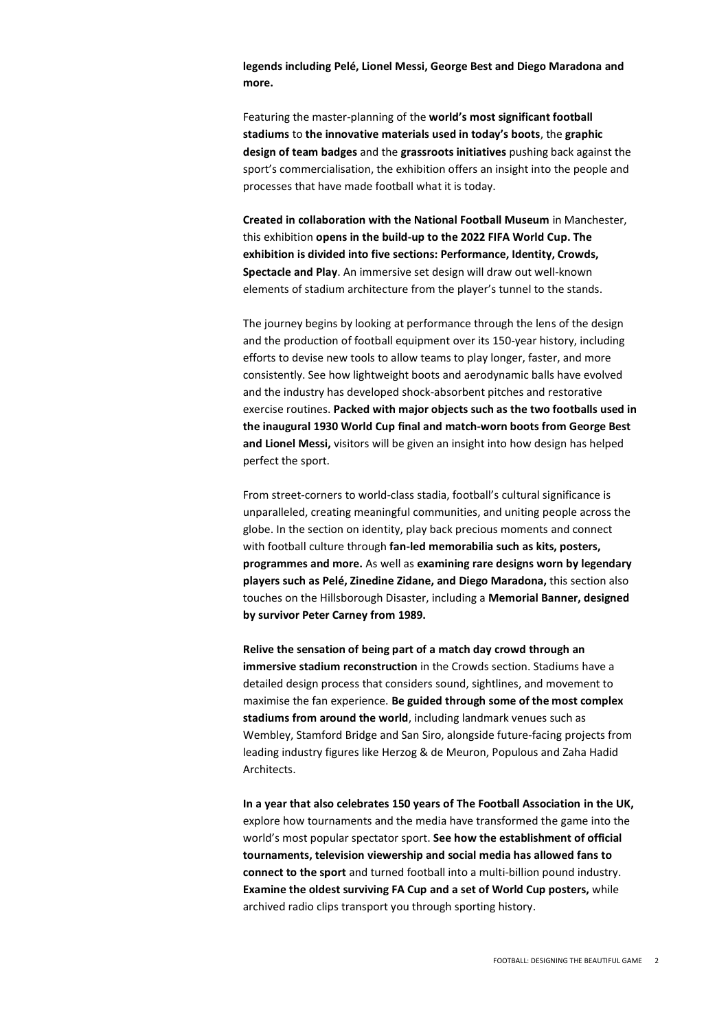**legends including Pelé, Lionel Messi, George Best and Diego Maradona and more.**

Featuring the master-planning of the **world's most significant football stadiums** to **the innovative materials used in today's boots**, the **graphic design of team badges** and the **grassroots initiatives** pushing back against the sport's commercialisation, the exhibition offers an insight into the people and processes that have made football what it is today.

**Created in collaboration with the National Football Museum** in Manchester, this exhibition **opens in the build-up to the 2022 FIFA World Cup. The exhibition is divided into five sections: Performance, Identity, Crowds, Spectacle and Play**. An immersive set design will draw out well-known elements of stadium architecture from the player's tunnel to the stands.

The journey begins by looking at performance through the lens of the design and the production of football equipment over its 150-year history, including efforts to devise new tools to allow teams to play longer, faster, and more consistently. See how lightweight boots and aerodynamic balls have evolved and the industry has developed shock-absorbent pitches and restorative exercise routines. **Packed with major objects such as the two footballs used in the inaugural 1930 World Cup final and match-worn boots from George Best and Lionel Messi,** visitors will be given an insight into how design has helped perfect the sport.

From street-corners to world-class stadia, football's cultural significance is unparalleled, creating meaningful communities, and uniting people across the globe. In the section on identity, play back precious moments and connect with football culture through **fan-led memorabilia such as kits, posters, programmes and more.** As well as **examining rare designs worn by legendary players such as Pelé, Zinedine Zidane, and Diego Maradona,** this section also touches on the Hillsborough Disaster, including a **Memorial Banner, designed by survivor Peter Carney from 1989.**

**Relive the sensation of being part of a match day crowd through an immersive stadium reconstruction** in the Crowds section. Stadiums have a detailed design process that considers sound, sightlines, and movement to maximise the fan experience. **Be guided through some of the most complex stadiums from around the world**, including landmark venues such as Wembley, Stamford Bridge and San Siro, alongside future-facing projects from leading industry figures like Herzog & de Meuron, Populous and Zaha Hadid Architects.

**In a year that also celebrates 150 years of The Football Association in the UK,** explore how tournaments and the media have transformed the game into the world's most popular spectator sport. **See how the establishment of official tournaments, television viewership and social media has allowed fans to connect to the sport** and turned football into a multi-billion pound industry. **Examine the oldest surviving FA Cup and a set of World Cup posters,** while archived radio clips transport you through sporting history.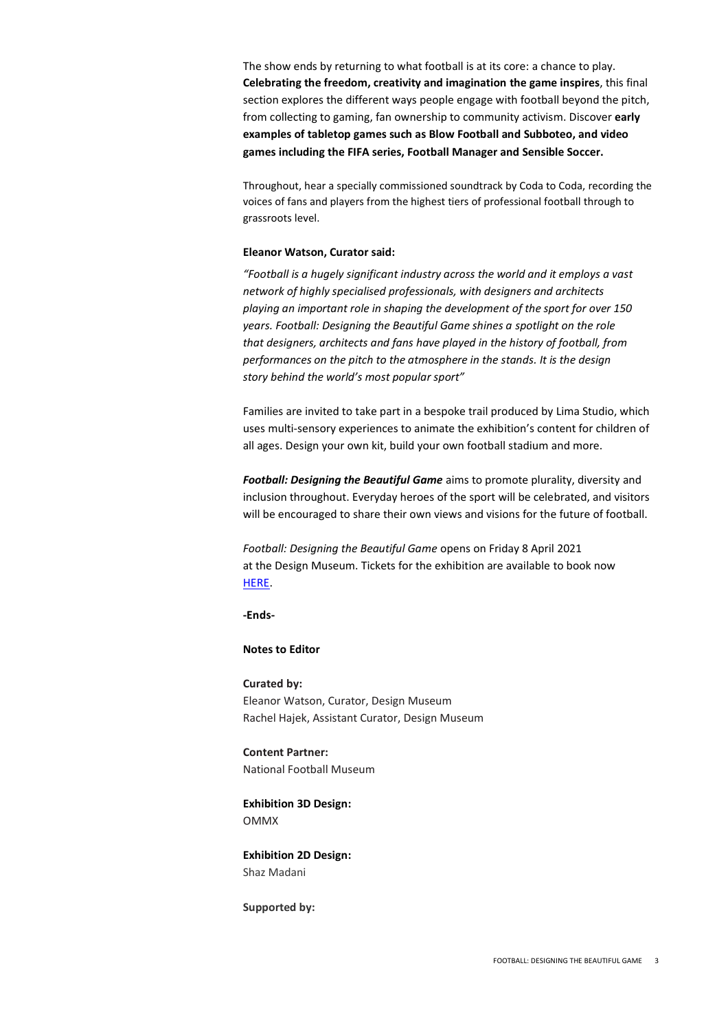The show ends by returning to what football is at its core: a chance to play. **Celebrating the freedom, creativity and imagination the game inspires**, this final section explores the different ways people engage with football beyond the pitch, from collecting to gaming, fan ownership to community activism. Discover **early examples of tabletop games such as Blow Football and Subboteo, and video games including the FIFA series, Football Manager and Sensible Soccer.** 

Throughout, hear a specially commissioned soundtrack by Coda to Coda, recording the voices of fans and players from the highest tiers of professional football through to grassroots level.

#### **Eleanor Watson, Curator said:**

*"Football is a hugely significant industry across the world and it employs a vast network of highly specialised professionals, with designers and architects playing an important role in shaping the development of the sport for over 150 years. Football: Designing the Beautiful Game shines a spotlight on the role that designers, architects and fans have played in the history of football, from performances on the pitch to the atmosphere in the stands. It is the design story behind the world's most popular sport"*

Families are invited to take part in a bespoke trail produced by Lima Studio, which uses multi-sensory experiences to animate the exhibition's content for children of all ages. Design your own kit, build your own football stadium and more.

*Football: Designing the Beautiful Game* aims to promote plurality, diversity and inclusion throughout. Everyday heroes of the sport will be celebrated, and visitors will be encouraged to share their own views and visions for the future of football.

*Football: Designing the Beautiful Game* opens on Friday 8 April 2021 at the Design Museum. Tickets for the exhibition are available to book now [HERE.](https://designmuseum.org/exhibitions/football-designing-the-beautiful-game)

**-Ends-**

## **Notes to Editor**

**Curated by:**  Eleanor Watson, Curator, Design Museum Rachel Hajek, Assistant Curator, Design Museum

**Content Partner:**  National Football Museum

**Exhibition 3D Design:** OMMX

**Exhibition 2D Design:** Shaz Madani

**Supported by:**